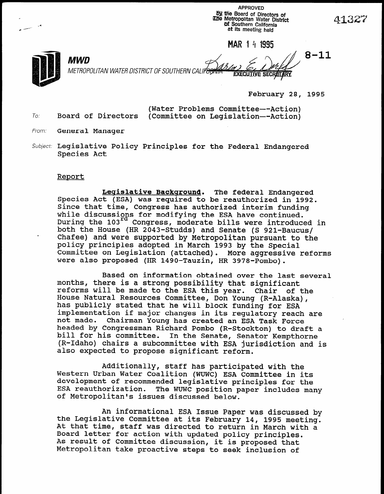APPROVED 59 ffie Board of Directors of iDie Metropolitan Water District M Southern California at its meeting held

MAR 1 4 1995

**EXECUTIVE SECRETARY** 

4

c --

February 28, 1995

(Water Problems Committee--Action) To: Board of Directors (Committee on Legislation--Action)

MWD  $\mathcal{A}_{\alpha} \in \mathcal{A}_{\alpha}$   $\mathcal{A}_{\alpha}$  8-1

- From: **General Manager**
- Subject: Legislative Policy Principles for the Federal Endangered Species Act

METROPOLITAN WATER DISTRICT OF SOUTHERN CALIF<del>O</del>

#### Report

Legislative Background. The federal Endangered Species Act (ESA) was required to be reauthorized in 1992. Since that time, Congress has authorized interim funding while discussions for modifying the ESA have continue while discussions for modifying the ESA have continued.<br>During the 103<sup>rd</sup> Congress, moderate bills were introduced in both the House (HR 2043-Studds) and Senate (S 921-Baucus/ chafee) and were supported by Metropolitan pursuant to the policy principles adopted in March 1993 by the Special Committee on Legislation (attached). More aggressive reforms<br>were also proposed (HR 1490-Tauzin, HR 3978-Pombo).

 $B_1$  and  $B_2$  on  $B_3$  or  $B_4$  over the last several over the last several over the last several over the last several over the last several over the last several over the last several over the last several over the la based on information optained over the la<br>months, there is a strong possibility in the sign months, there is a strong possibility that significant reforms will be made to the ESA this year. Chair of the reforms will be made to the ESA this year. House Natural Resources Committee, Don Young (R-Alaska), has publicly stated that he will block funding for ESA implementation if major changes in its regulatory reach are not made. Chairman Young has created an ESA Task Force Chairman Young has created an ESA Task Force headed by Congressman Richard Pombo (R-Stockton) to draft a bill for his committee. In the Senate, Senator Kempthorne (R-Idaho) chairs a subcommittee with ESA jurisdiction and is also expected to propose significant reform.

 $\mathcal{A}$  and  $\mathcal{A}$  has participated with the participated with the participated with the participated with the participated with the participated with the participated with the participated with  $\mathcal{A}$ Additionally, staff has participated with the Western Urban Water Coalition (WUWC) ESA Committee in its development of recommended legislative principles for the ESA reauthorization. The WUWC position paper includes many of Metropolitan's issues discussed below.

An informational ESA Issue Paper was discussed by the Legislative Committee at its February 14, 1995 meeting. At that time, staff was directed to return in March with a Board letter for action with updated policy principles. As result of Committee discussion, it is proposed that<br>Metropolitan take proactive steps to seek inclusion of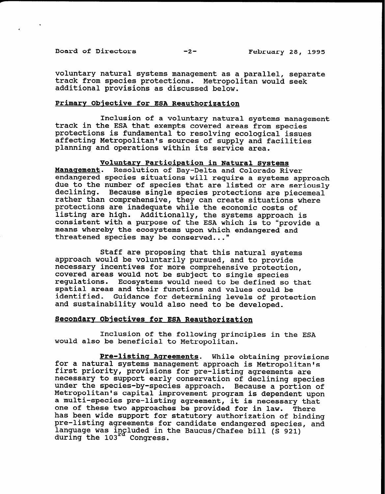Board of Directors -2-<br>
-2-<br>
February 28, 1995

voluntary natural systems management as a parallel, separate track from species protections. Metropolitan would seek additional provisions as discussed below.

#### Primary Objective for ESA Reauthorization

Inclusion of a voluntary natural systems management track in the ESA that exempts covered areas from species protections is fundamental to resolving ecological issues affecting Metropolitan's sources of supply and facilities planning and operations within its service area.

# Voluntary Participation in Natural Systems

Management. Resolution of Bay-Delta and Colorado River endangered species situations will require a systems approach due to the number of species that are listed or are seriously declining. Because single species protections are piecemeal rather than comprehensive, they can create situations where protections are inadequate while the economic costs of listing are high. Additionally, the systems approach is consistent with a purpose of the ESA which is to "provide a means whereby the ecosystems upon which endangered and threatened species may be conserved..."

Staff are proposing that this natural systems approach would be voluntarily pursued, and to provide necessary incentives for more comprehensive protection, covered areas would not be subject to single species regulations. Ecosystems would need to be defined so that spatial areas and their functions and values could be identified. Guidance for determining levels of protection and sustainability would also need to be developed.

## Secondary Objectives for ESA Reauthorization

Inclusion of the following principles in the ESA would also be beneficial to Metropolitan.

Pre-listing Agreements. While obtaining provisions for a natural systems management approach is Metropolitan's first priority, provisions for pre-listing agreements are necessary to support early conservation of declining specie under the species-by-species approach. Because a portion of Metropolitan's capital improvement program is dependent upon a multi-species pre-listing agreement, it is necessary that one of these two approaches be provided for in law. There has been wide support for statutory authorization of binding pre-listing agreements for candidate endangered species, and language was included in the Baucus/Chafee bill (S 921) during the 103<sup>14</sup> Congress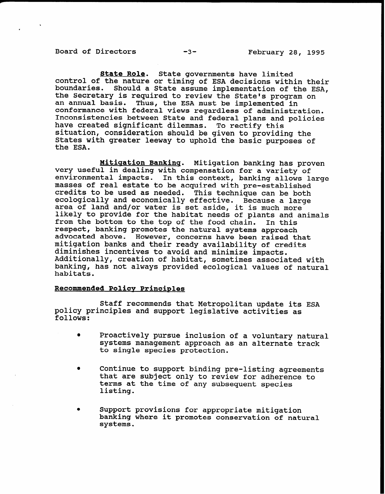State Role. State governments have limited control of the nature or timing of ESA decisions within their boundaries. Should a State assume implementation of the ESA, the Secretary is required to review the State's program on an annual basis. Thus, the ESA must be implemented in conformance with federal views regardless of administration. Inconsistencies between State and federal plans and policies have created significant dilemmas. To rectify thi situation, consideration should be given to providing the States with greater leeway to uphold the basic purposes of the ESA.

Mitiaation Bankinq. Mitigation banking has proven very useful in dealing with compensation for a variety of environmental impacts. In this context, banking allows large masses of real estate to be acquired with pre-established credits to be used as needed. This technique can be both ecologically and economically effective. Because a large area of land and/or water is set aside, it is much more likely to provide for the habitat needs of plants and animals from the bottom to the top of the food chain. In this respect, banking promotes the natural systems approach advocated above. However, concerns have been raised that mitigation banks and their ready availability of credits diminishes incentives to avoid and minimize impacts. Additionally, creation of habitat, sometimes associated with banking, has not always provided ecological values of natural habitats.

#### Recommended Policy Principles

Staff recommends that Metropolitan update its ESA policy principles and support legislative activities as follows:

- Proactively pursue inclusion of a voluntary natural systems management approach as an alternate track to single species protection.
- Continue to support binding pre-listing agreements that are subject only to review for adherence to terms at the time of any subsequent species listing.
- Support provisions for appropriate mitigation banking where it promotes conservation of natural systems.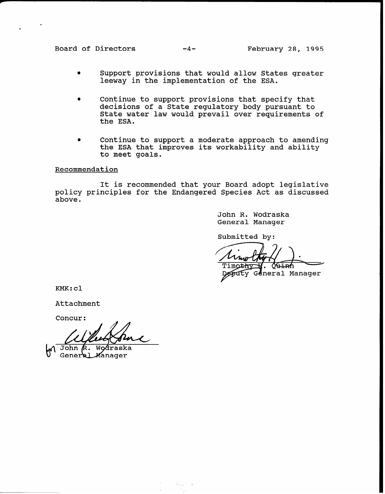Board of Directors -4- February 28, 1995

- <sup>0</sup>Support provisions that would allow States greater leeway in the implementation of the ESA.
- <sup>0</sup>Continue to support provisions that specify that decisions of a State regulatory body pursuant to State water law would prevail over requirements of the ESA.
- Continue to support a moderate approach to amending the ESA that improves its workability and ability to meet goals.

Recommendation

It is recommended that your Board adopt legislative policy principles for the Endangered Species Act as discussed above.

> John R. Wodraska General Manager

Submitted by:

General Manager

KMK:cl

Attachment

Concur:

**John** Wodraska R. General Manager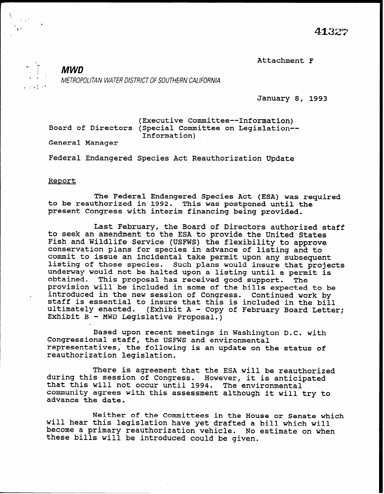$\ddot{ }$ .  $\ddot{ }$  413

Attachment F

-, y- MWD ; 1 . METROPOLITAN WATER DISTRICT OF SOUTHERN CALIFORNIA

January 8, 1993

(Executive Committee--Information) Board of Directors (Special Committee on Legislation-- Information) General Manager

Federal Endangered Species Act Reauthorization Update

#### Report

 $\cdot$  .  $\cdot$  if  $\cdot$  ,  $\cdot$  ,  $\cdot$ 

The Federal Endangered Species Act (ESA) was required to be reauthorized in 1992. This was postponed until the present Congress with interim financing being provided.

Last February, the Board of Directors authorized staff to seek an amendment to the ESA to provide the United States Fish and Wildlife Service (USFWS) the flexibility to approve conservation plans for species in advance of listing and to commit to issue an incidental take permit upon any subsequent listing of those species. Such plans would insure that projects underway would not be halted upon a listing until a permit is obtained. This proposal has received good support. The provision will be included in some of the bills expected to be introduced in the new session of Congress. Continued work by staff is essential to insure that this is included in the bill ultimately enacted. (Exhibit A - Copy of February Board Lette Exhibit B - MWD Legislative Proposal

Based upon recent meetings in Washington D.C. with Congressional staff, the USFWS and environmental representatives; the following is an update on the status of reauthorization legislation.

There is agreement that the ESA will be reauthorized during this session of Congress. However, it is anticipa that this will not occur until 1994. The environmen community agrees with this assessment although it will try to advance the date.

Neither of the Committees in the House or Senate which will hear this legislation have yet drafted a bill which will become a primary reauthorization vehicle. No estimate on when these bills will be introduced could be given.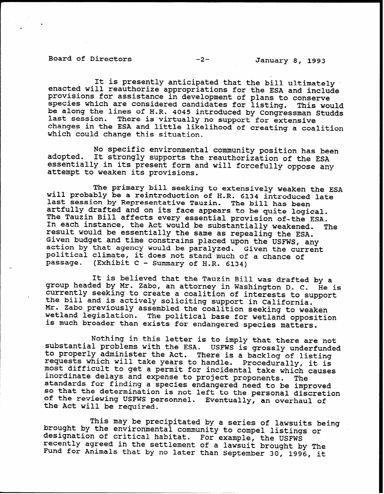# Board of Directors -2- January 8, 1993

It is presently anticipated that the bill ultimately enacted will reauthorize appropriations for the ESA and include provisions for assistance in development of plans to conserve species which are considered candidates for listing. This would be along the lines of H.R. 4045 introduced by Congressman Studd; last session. There is virtually no support for extensive changes in the ESA and little likelihood of creating a coalition which could change this situation.

adopted. No specific environmental community position has been It strongly supports the reauthorization of the ESA essentially in its present form and will forcefully oppose any attempt to weaken its provisions.

The primary bill seeking to extensively weaken the ESA will probably be a reintroduction of H.R. 6134 introduced lat last session by Representative Tauzin. The bill has been artfully drafted and on its face appears to be quite logical. The Tauzin Bill affects every essential provision of-the ESA. In each instance, the Act would be substantially weakened. The result would be essentially the same as repealing the ESA. Given budget and time constrains placed upon the USFWS, any action by that agency would be paralyzed. Given the curre political climate, it does not stand much of a chance of passage. (Exhibit C - Summary of H-R. 6134)

It is believed that the Tauzin Bill was drafted by a group headed by Mr. Zabo, an attorney in Washington D. C. He is currently seeking to create a coalition of interests to support the bill and is actively soliciting support in California. Mr. Zabo previously assembled the coalition seeking to weaken wetland legislation. The political base for wetland opposition is much broader than exists for endangered species matters.

Nothing in this letter is to imply that there are not substantial problems with the ESA. USFWS is grossly underfund to properly administer the Act. There is a backlog of list: requests which will take years to handle. Procedurally, it is most difficult to get a permit for incidental take which causes inordinate delays and expense to project proponents. The inordinate delays and expense to project proponents. The standards for finding a species endangered need to be improved so that the determination is not left to the personal discretion of the reviewing USFWS personnel. Eventually, an overhaul of the Act will be required.

This may be precipitated by a series of lawsuits being brought by the environmental community to compel listings or designation of critical habitat. For example, the USFWS recently agreed in the settlement of a lawsuit brought by The Fund for Animals that by no later than September 30, 1996, it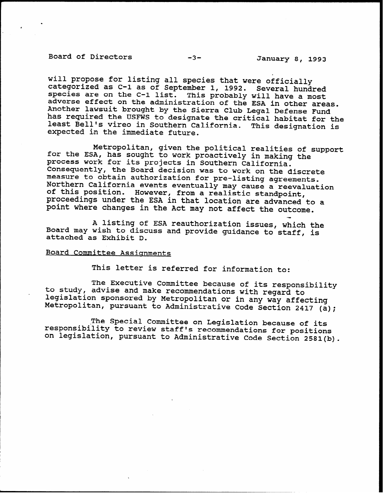# Board of Directors -3-<br>
January 8, 1993

.

--

will propose for listing all species that were officially categorized as C-l as of September 1, 1992. Several hundred species are on the C-l list. This probably will have a most adverse effect on the administration of the ESA in other areas. Another lawsuit brought by the Sierra Club Legal Defense Fund has required the USFWS to designate the critical habitat for the least Bell's vireo in Southern California. This designation is expected in the immediate future.

Metropolitan, given the political realities of suppor for the ESA, has sought to work proactively in making the process work for its projects in Southern California. Consequently, the Board decision was to work on the discrete measure to obtain authorization for pre-listing agreements. Northern California events eventually may cause a reevaluation of this position. However, from a realistic standpoint, proceedings under the ESA in that location are advanced to a point where changes in the Act may not affect the outcome.

A listing of ESA reauthorization issues which the Board may wish to discuss and provide guidance to'staff, is attached as Exhibit D.

### Board Committee Assignments

This letter is referred for information to:

to study, advise and make recommendations with regard to The Executive Committee because of its responsibility legislation sponsored by Metropolitan or in any way affecting Metropolitan, pursuant to Administrative Code section 2417 (a);

The Special Committee on Legislation because of its responsibility to review staff's recommendations for positions on legislation, pursuant to Administrative Code Section 2581(b).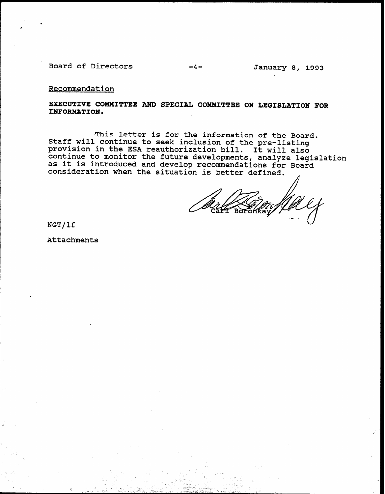Board of Directors -4- January 8, 1993

Recommendation

.

.

EXECUTIVE COMMITTEE AND SPECIAL COMMITTEE ON LEGISLATION FOR INFORMATION.

-This letter is for the information of the Board. Staff will continue to seek inclusion of the pre-lis provision in the ESA reauthorization bill. It will also continue to monitor the future developments, analyze legislat as it is introduced and develop recommendations for Board consideration when the situation is better defined. ,

.-

\_ - 10 - IV A N GALO 1772. NASA A LUGU

1 - i. 7 <- I. \_I '.'L,Z : \_ L .;r;- I. . . A' \_ 1\_ \_ L.

. .

NGT/lf

Attachments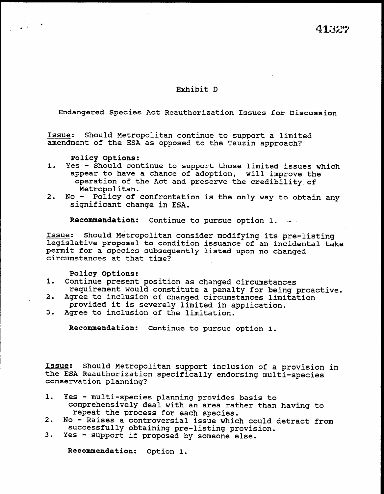## Exhibit D

Endangered Species Act Reauthorization Issues for Discussion

Issue: Should Metropolitan continue to support a limited amendment of the ESA as opposed to the Tauzin approach?

Policy Options:

 $\mathcal{L}^{\text{max}}$ 

- 1. Yes Should continue to support those limited issues which appear to have a chance of adoption, will improve the operation of the Act and preserve the credibility of Metropolitan.
- 2. No- Policy of confrontation is the only way to obtain any significant change in ESA.

Recommendation: Continue to pursue option 1.

Issue: Should Metropolitan consider modifying its pre-listing legislative proposal to condition issues of an incidental takes legislative proposal to condition issuance of an incidental take permit for a species subsequently listed upon no changed circumstances at that time?

Policy Options:

- 1. Continue present position as changed circumstances oncinue present position as changed circumstances zequirement would constitute a penalty for peing j
- Agree to inclusion of changed circumstances limitation provided it is severely limited in application.<br>3. Agree to inclusion of the limitation.
- 

Recommendation: Continue to pursue option 1.

Issue: Should Metropolitan support inclusion of a provision in <u>Issue</u>: Should Metropolitan support inclusion of a provi the ESA Reauthorization specifically endorsing multi-species conservation planning?

- 1. Yes multi-species planning provides basis to es - multi-species planning provides basis to comprehensively deal with an area rather than having to repeat the process for each species.<br>2. No - Raises a controversial issue which
- No Raises a controversial issue which could detract from successfully obtaining pre-listing provision.<br>Yes - support if proposed by someone else.
- 

Recommendation: Option 1.